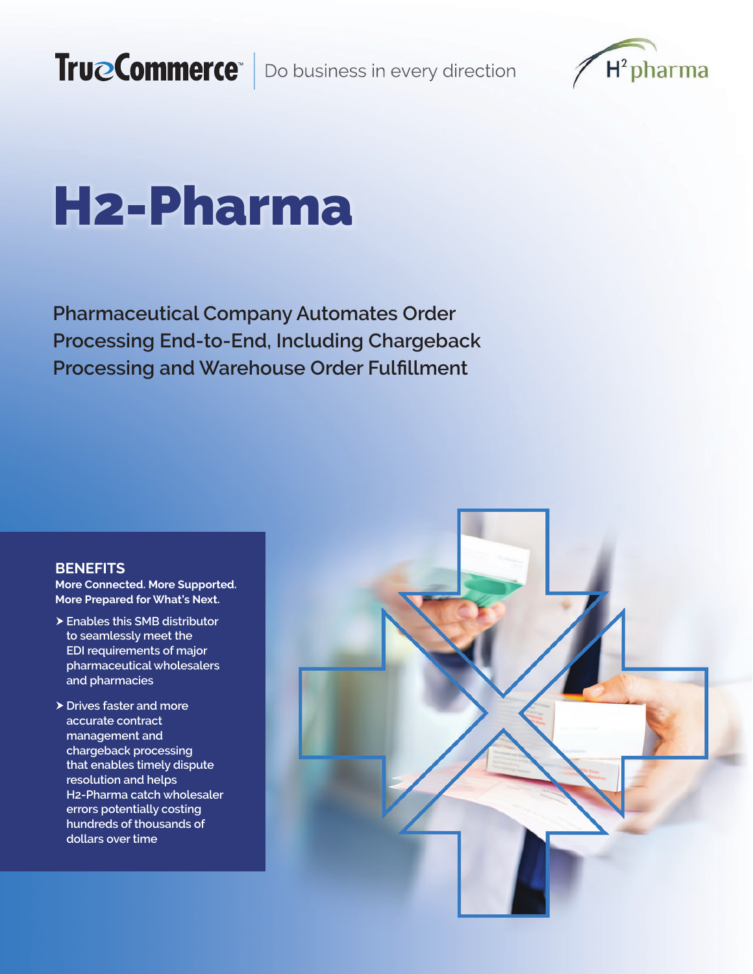

# H2-Pharma

**Pharmaceutical Company Automates Order Processing End-to-End, Including Chargeback Processing and Warehouse Order Fulfillment**

# **BENEFITS**

**More Connected. More Supported. More Prepared for What's Next.**

- h**Enables this SMB distributor to seamlessly meet the EDI requirements of major pharmaceutical wholesalers and pharmacies**
- $\triangleright$  Drives faster and more **accurate contract management and chargeback processing that enables timely dispute resolution and helps H2-Pharma catch wholesaler errors potentially costing hundreds of thousands of dollars over time**

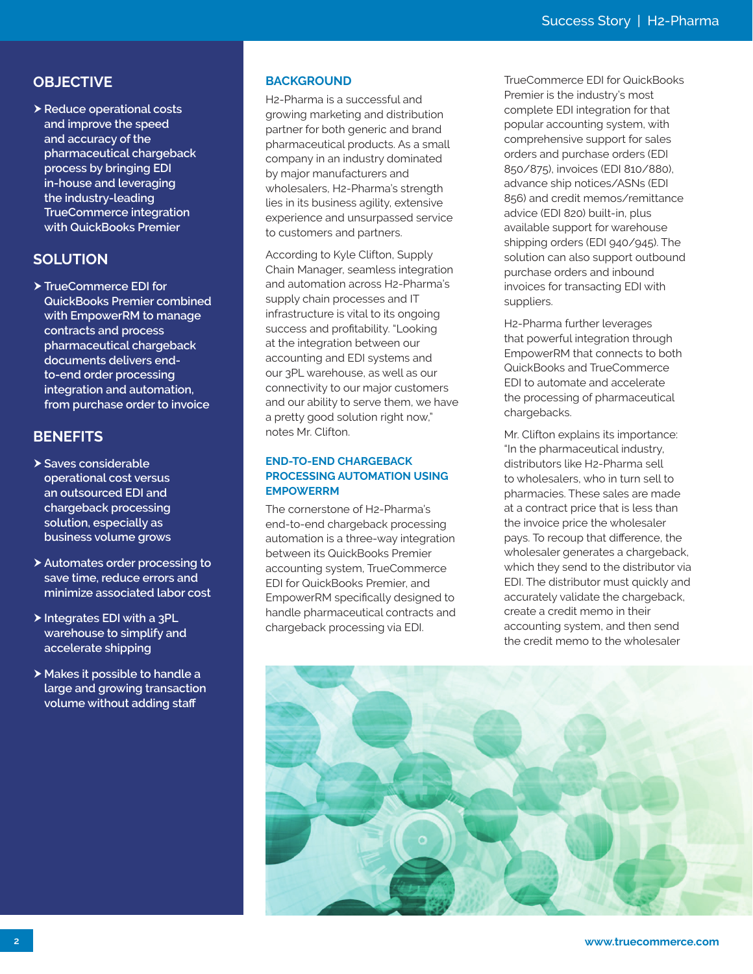# **OBJECTIVE**

h**Reduce operational costs and improve the speed and accuracy of the pharmaceutical chargeback process by bringing EDI in-house and leveraging the industry-leading TrueCommerce integration with QuickBooks Premier**

# **SOLUTION**

 $\blacktriangleright$  **TrueCommerce EDI for QuickBooks Premier combined with EmpowerRM to manage contracts and process pharmaceutical chargeback documents delivers endto-end order processing integration and automation, from purchase order to invoice**

# **BENEFITS**

- h**Saves considerable operational cost versus an outsourced EDI and chargeback processing solution, especially as business volume grows**
- h**Automates order processing to save time, reduce errors and minimize associated labor cost**
- ▶ Integrates EDI with a 3PL **warehouse to simplify and accelerate shipping**
- h **Makes it possible to handle a large and growing transaction volume without adding staff**

#### **BACKGROUND**

H2-Pharma is a successful and growing marketing and distribution partner for both generic and brand pharmaceutical products. As a small company in an industry dominated by major manufacturers and wholesalers, H2-Pharma's strength lies in its business agility, extensive experience and unsurpassed service to customers and partners.

According to Kyle Clifton, Supply Chain Manager, seamless integration and automation across H2-Pharma's supply chain processes and IT infrastructure is vital to its ongoing success and profitability. "Looking at the integration between our accounting and EDI systems and our 3PL warehouse, as well as our connectivity to our major customers and our ability to serve them, we have a pretty good solution right now," notes Mr. Clifton.

#### **END-TO-END CHARGEBACK PROCESSING AUTOMATION USING EMPOWERRM**

The cornerstone of H2-Pharma's end-to-end chargeback processing automation is a three-way integration between its QuickBooks Premier accounting system, TrueCommerce EDI for QuickBooks Premier, and EmpowerRM specifically designed to handle pharmaceutical contracts and chargeback processing via EDI.

TrueCommerce EDI for QuickBooks Premier is the industry's most complete EDI integration for that popular accounting system, with comprehensive support for sales orders and purchase orders (EDI 850/875), invoices (EDI 810/880), advance ship notices/ASNs (EDI 856) and credit memos/remittance advice (EDI 820) built-in, plus available support for warehouse shipping orders (EDI 940/945). The solution can also support outbound purchase orders and inbound invoices for transacting EDI with suppliers.

H2-Pharma further leverages that powerful integration through EmpowerRM that connects to both QuickBooks and TrueCommerce EDI to automate and accelerate the processing of pharmaceutical chargebacks.

Mr. Clifton explains its importance: "In the pharmaceutical industry, distributors like H2-Pharma sell to wholesalers, who in turn sell to pharmacies. These sales are made at a contract price that is less than the invoice price the wholesaler pays. To recoup that difference, the wholesaler generates a chargeback. which they send to the distributor via EDI. The distributor must quickly and accurately validate the chargeback, create a credit memo in their accounting system, and then send the credit memo to the wholesaler

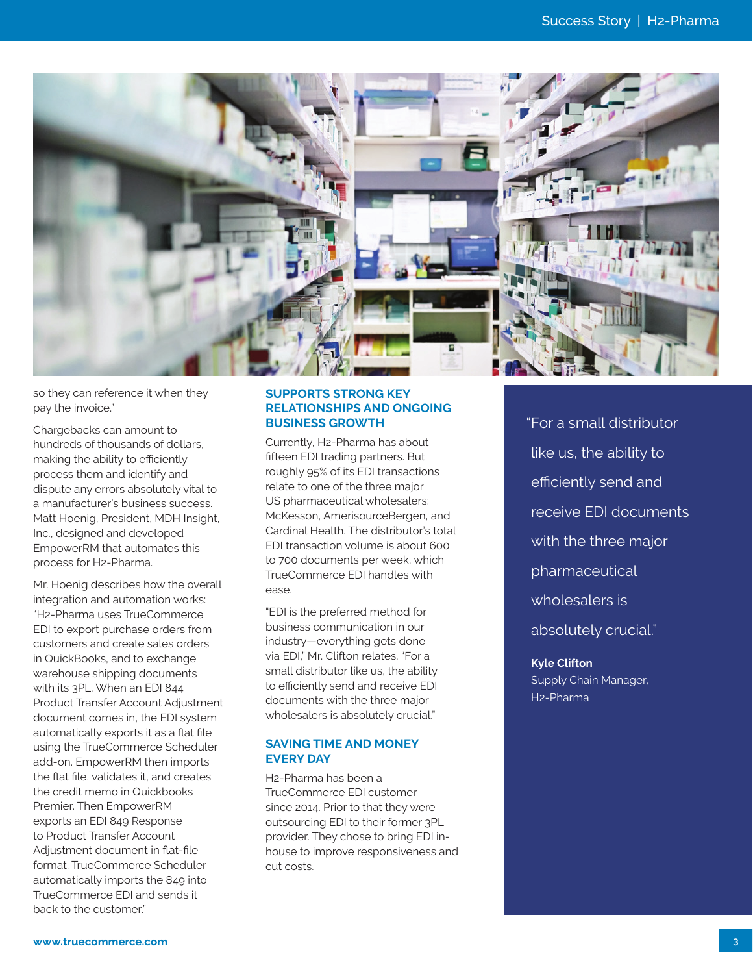

so they can reference it when they pay the invoice."

Chargebacks can amount to hundreds of thousands of dollars, making the ability to efficiently process them and identify and dispute any errors absolutely vital to a manufacturer's business success. Matt Hoenig, President, MDH Insight, Inc., designed and developed EmpowerRM that automates this process for H2-Pharma.

Mr. Hoenig describes how the overall integration and automation works: "H2-Pharma uses TrueCommerce EDI to export purchase orders from customers and create sales orders in QuickBooks, and to exchange warehouse shipping documents with its 3PL. When an EDI 844 Product Transfer Account Adjustment document comes in, the EDI system automatically exports it as a flat file using the TrueCommerce Scheduler add-on. EmpowerRM then imports the flat file, validates it, and creates the credit memo in Quickbooks Premier. Then EmpowerRM exports an EDI 849 Response to Product Transfer Account Adjustment document in flat-file format. TrueCommerce Scheduler automatically imports the 849 into TrueCommerce EDI and sends it back to the customer."

#### **SUPPORTS STRONG KEY RELATIONSHIPS AND ONGOING BUSINESS GROWTH**

Currently, H2-Pharma has about fifteen EDI trading partners. But roughly 95% of its EDI transactions relate to one of the three major US pharmaceutical wholesalers: McKesson, AmerisourceBergen, and Cardinal Health. The distributor's total EDI transaction volume is about 600 to 700 documents per week, which TrueCommerce EDI handles with ease.

"EDI is the preferred method for business communication in our industry—everything gets done via EDI," Mr. Clifton relates. "For a small distributor like us, the ability to efficiently send and receive EDI documents with the three major wholesalers is absolutely crucial."

#### **SAVING TIME AND MONEY EVERY DAY**

H2-Pharma has been a TrueCommerce EDI customer since 2014. Prior to that they were outsourcing EDI to their former 3PL provider. They chose to bring EDI inhouse to improve responsiveness and cut costs.

"For a small distributor like us, the ability to efficiently send and receive EDI documents with the three major pharmaceutical wholesalers is absolutely crucial."

**Kyle Clifton** Supply Chain Manager, H2-Pharma